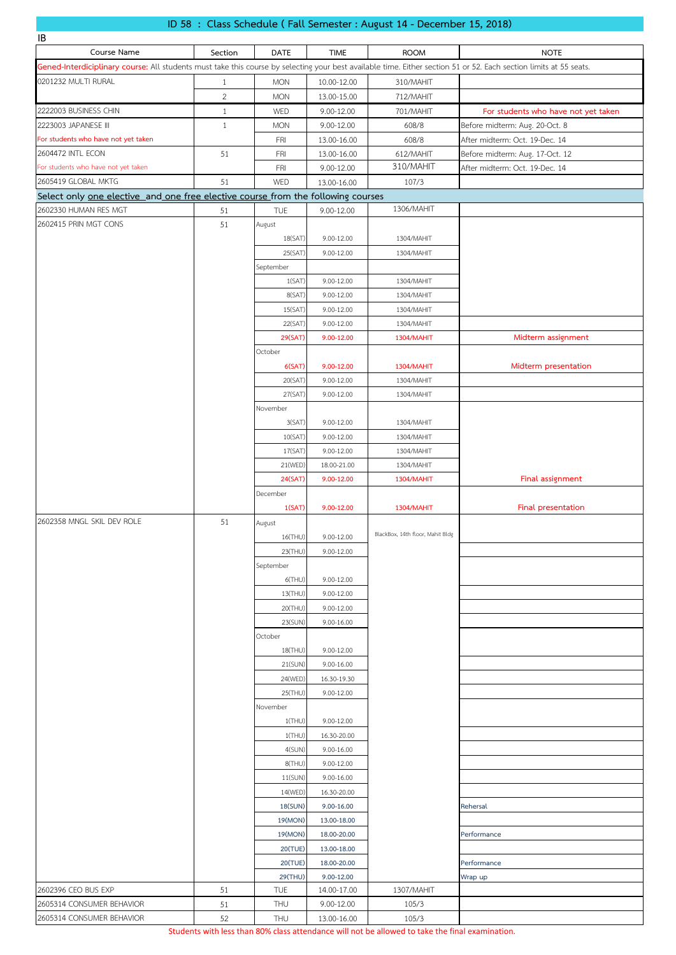# **ID 58 : Class Schedule ( Fall Semester : August 14 - December 15, 2018)**

| IB                                                                                                                                                                 |                |                   |                |                                  |                                     |
|--------------------------------------------------------------------------------------------------------------------------------------------------------------------|----------------|-------------------|----------------|----------------------------------|-------------------------------------|
| Course Name                                                                                                                                                        | Section        | DATE              | <b>TIME</b>    | <b>ROOM</b>                      | <b>NOTE</b>                         |
| Gened-Interdiciplinary course: All students must take this course by selecting your best available time. Either section 51 or 52. Each section limits at 55 seats. |                |                   |                |                                  |                                     |
| 0201232 MULTI RURAL                                                                                                                                                | $\mathbf{1}$   | <b>MON</b>        | 10.00-12.00    | 310/MAHIT                        |                                     |
|                                                                                                                                                                    | $\overline{2}$ | <b>MON</b>        | 13.00-15.00    | 712/MAHIT                        |                                     |
| 2222003 BUSINESS CHIN                                                                                                                                              | $\mathbf{1}$   | WED               | 9.00-12.00     | 701/MAHIT                        | For students who have not yet taken |
| 2223003 JAPANESE III                                                                                                                                               | $\mathbf{1}$   | <b>MON</b>        | 9.00-12.00     | 608/8                            | Before midterm: Aug. 20-Oct. 8      |
| For students who have not yet taken                                                                                                                                |                | FRI               | 13.00-16.00    | 608/8                            | After midterm: Oct. 19-Dec. 14      |
| 2604472 INTL ECON                                                                                                                                                  | 51             | <b>FRI</b>        | 13.00-16.00    | 612/MAHIT                        | Before midterm: Aug. 17-Oct. 12     |
| For students who have not yet taken                                                                                                                                |                | FRI               | 9.00-12.00     | 310/MAHIT                        | After midterm: Oct. 19-Dec. 14      |
| 2605419 GLOBAL MKTG                                                                                                                                                | 51             | WED               | 13.00-16.00    | 107/3                            |                                     |
| Select only one elective and one free elective course from the following courses                                                                                   |                |                   |                |                                  |                                     |
| 2602330 HUMAN RES MGT                                                                                                                                              | 51             | <b>TUE</b>        | 9.00-12.00     | 1306/MAHIT                       |                                     |
| 2602415 PRIN MGT CONS                                                                                                                                              | 51             | August            |                |                                  |                                     |
|                                                                                                                                                                    |                | 18(SAT)           | 9.00-12.00     | 1304/MAHIT                       |                                     |
|                                                                                                                                                                    |                | 25(SAT)           | 9.00-12.00     | 1304/MAHIT                       |                                     |
|                                                                                                                                                                    |                | September         |                |                                  |                                     |
|                                                                                                                                                                    |                | 1(SAT)            | 9.00-12.00     | 1304/MAHIT                       |                                     |
|                                                                                                                                                                    |                | 8(SAT)            | 9.00-12.00     | 1304/MAHIT                       |                                     |
|                                                                                                                                                                    |                | 15(SAT)           | 9.00-12.00     | 1304/MAHIT                       |                                     |
|                                                                                                                                                                    |                | 22(SAT)           | $9.00 - 12.00$ | 1304/MAHIT                       |                                     |
|                                                                                                                                                                    |                | 29(SAT)           | 9.00-12.00     | <b>1304/MAHIT</b>                | Midterm assignment                  |
|                                                                                                                                                                    |                | October           |                |                                  |                                     |
|                                                                                                                                                                    |                | 6(SAT)            | 9.00-12.00     | <b>1304/MAHIT</b>                | Midterm presentation                |
|                                                                                                                                                                    |                | 20(SAT)           | $9.00 - 12.00$ | 1304/MAHIT                       |                                     |
|                                                                                                                                                                    |                | 27(SAT)           | 9.00-12.00     | 1304/MAHIT                       |                                     |
|                                                                                                                                                                    |                | November          |                |                                  |                                     |
|                                                                                                                                                                    |                | 3(SAT)            | 9.00-12.00     | 1304/MAHIT                       |                                     |
|                                                                                                                                                                    |                | 10(SAT)           | 9.00-12.00     | 1304/MAHIT                       |                                     |
|                                                                                                                                                                    |                | 17(SAT)           | 9.00-12.00     | 1304/MAHIT                       |                                     |
|                                                                                                                                                                    |                | 21(WED)           | 18.00-21.00    | 1304/MAHIT                       |                                     |
|                                                                                                                                                                    |                | 24(SAT)           | 9.00-12.00     | <b>1304/MAHIT</b>                | Final assignment                    |
|                                                                                                                                                                    |                | December          |                |                                  |                                     |
|                                                                                                                                                                    |                | 1(SAT)            | 9.00-12.00     | <b>1304/MAHIT</b>                | Final presentation                  |
| 2602358 MNGL SKIL DEV ROLE                                                                                                                                         | 51             |                   |                |                                  |                                     |
|                                                                                                                                                                    |                | August<br>16(THU) | 9.00-12.00     | BlackBox, 14th floor, Mahit Bldg |                                     |
|                                                                                                                                                                    |                | 23(THU)           | 9.00-12.00     |                                  |                                     |
|                                                                                                                                                                    |                | September         |                |                                  |                                     |
|                                                                                                                                                                    |                | $6$ (THU)         | 9.00-12.00     |                                  |                                     |
|                                                                                                                                                                    |                | 13(THU)           | 9.00-12.00     |                                  |                                     |
|                                                                                                                                                                    |                | 20(THU)           | 9.00-12.00     |                                  |                                     |
|                                                                                                                                                                    |                | 23(SUN)           | $9.00 - 16.00$ |                                  |                                     |
|                                                                                                                                                                    |                | October           |                |                                  |                                     |
|                                                                                                                                                                    |                | 18(THU)           | 9.00-12.00     |                                  |                                     |
|                                                                                                                                                                    |                | 21(SUN)           | 9.00-16.00     |                                  |                                     |
|                                                                                                                                                                    |                | 24(WED)           | 16.30-19.30    |                                  |                                     |
|                                                                                                                                                                    |                | 25(THU)           | 9.00-12.00     |                                  |                                     |
|                                                                                                                                                                    |                | November          |                |                                  |                                     |
|                                                                                                                                                                    |                | 1(THU)            | 9.00-12.00     |                                  |                                     |
|                                                                                                                                                                    |                | $1$ (THU)         | 16.30-20.00    |                                  |                                     |
|                                                                                                                                                                    |                | 4(SUN)            | 9.00-16.00     |                                  |                                     |
|                                                                                                                                                                    |                | 8(THU)            | 9.00-12.00     |                                  |                                     |
|                                                                                                                                                                    |                | 11(SUN)           | 9.00-16.00     |                                  |                                     |
|                                                                                                                                                                    |                | 14(WED)           | 16.30-20.00    |                                  |                                     |
|                                                                                                                                                                    |                | 18(SUN)           | 9.00-16.00     |                                  | Rehersal                            |
|                                                                                                                                                                    |                | 19(MON)           | 13.00-18.00    |                                  |                                     |
|                                                                                                                                                                    |                | 19(MON)           | 18.00-20.00    |                                  | Performance                         |
|                                                                                                                                                                    |                | 20(TUE)           | 13.00-18.00    |                                  |                                     |
|                                                                                                                                                                    |                | 20(TUE)           | 18.00-20.00    |                                  | Performance                         |
|                                                                                                                                                                    |                | 29(THU)           | 9.00-12.00     |                                  | Wrap up                             |
| 2602396 CEO BUS EXP                                                                                                                                                | 51             | <b>TUE</b>        | 14.00-17.00    | 1307/MAHIT                       |                                     |
| 2605314 CONSUMER BEHAVIOR                                                                                                                                          | 51             | THU               | 9.00-12.00     | 105/3                            |                                     |
| 2605314 CONSUMER BEHAVIOR                                                                                                                                          | 52             | THU               | 13.00-16.00    | 105/3                            |                                     |

Students with less than 80% class attendance will not be allowed to take the final examination.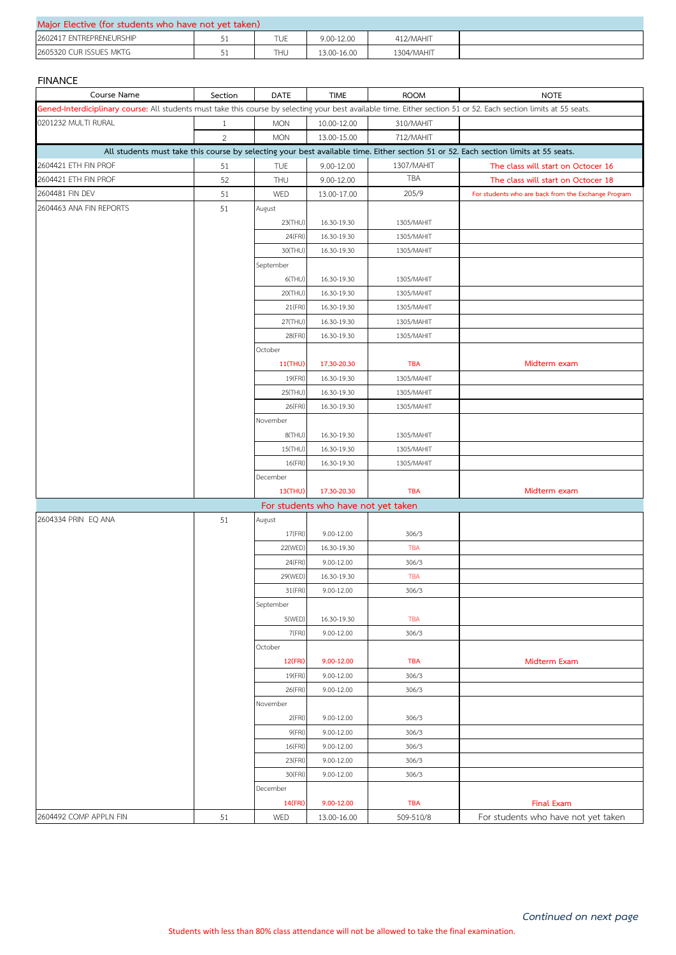| Major Elective (for students who have not yet taken) |  |     |             |            |  |  |  |
|------------------------------------------------------|--|-----|-------------|------------|--|--|--|
| 2602417 ENTREPRENEURSHIP                             |  | TUE | 9.00-12.00  | 412/MAHIT  |  |  |  |
| 2605320 CUR ISSUES MKTG                              |  | THU | 13.00-16.00 | 1304/MAHIT |  |  |  |

### **FINANCE**

| Course Name                                                                                                                                                        | Section        | <b>DATE</b>    | <b>TIME</b>                         | <b>ROOM</b> | <b>NOTE</b>                                                                                                                         |  |  |
|--------------------------------------------------------------------------------------------------------------------------------------------------------------------|----------------|----------------|-------------------------------------|-------------|-------------------------------------------------------------------------------------------------------------------------------------|--|--|
| Gened-Interdiciplinary course: All students must take this course by selecting your best available time. Either section 51 or 52. Each section limits at 55 seats. |                |                |                                     |             |                                                                                                                                     |  |  |
| 0201232 MULTI RURAL                                                                                                                                                | $\mathbf{1}$   | <b>MON</b>     | 10.00-12.00                         | 310/MAHIT   |                                                                                                                                     |  |  |
|                                                                                                                                                                    | $\overline{2}$ | <b>MON</b>     | 13.00-15.00                         | 712/MAHIT   |                                                                                                                                     |  |  |
|                                                                                                                                                                    |                |                |                                     |             | All students must take this course by selecting your best available time. Either section 51 or 52. Each section limits at 55 seats. |  |  |
| 2604421 ETH FIN PROF                                                                                                                                               | 51             | <b>TUE</b>     | 9.00-12.00                          | 1307/MAHIT  | The class will start on Octocer 16                                                                                                  |  |  |
| 2604421 ETH FIN PROF                                                                                                                                               | 52             | THU            | 9.00-12.00                          | <b>TBA</b>  | The class will start on Octocer 18                                                                                                  |  |  |
| 2604481 FIN DEV                                                                                                                                                    | 51             | WED            | 13.00-17.00                         | 205/9       | For students who are back from the Exchange Program                                                                                 |  |  |
| 2604463 ANA FIN REPORTS                                                                                                                                            | 51             | August         |                                     |             |                                                                                                                                     |  |  |
|                                                                                                                                                                    |                | 23(THU)        | 16.30-19.30                         | 1305/MAHIT  |                                                                                                                                     |  |  |
|                                                                                                                                                                    |                | 24(FRI)        | 16.30-19.30                         | 1305/MAHIT  |                                                                                                                                     |  |  |
|                                                                                                                                                                    |                | 30(THU)        | 16.30-19.30                         | 1305/MAHIT  |                                                                                                                                     |  |  |
|                                                                                                                                                                    |                | September      |                                     |             |                                                                                                                                     |  |  |
|                                                                                                                                                                    |                | $6$ (THU)      | 16.30-19.30                         | 1305/MAHIT  |                                                                                                                                     |  |  |
|                                                                                                                                                                    |                | 20(THU)        | 16.30-19.30                         | 1305/MAHIT  |                                                                                                                                     |  |  |
|                                                                                                                                                                    |                | 21(FRI)        | 16.30-19.30                         | 1305/MAHIT  |                                                                                                                                     |  |  |
|                                                                                                                                                                    |                | 27(THU)        | 16.30-19.30                         | 1305/MAHIT  |                                                                                                                                     |  |  |
|                                                                                                                                                                    |                | 28(FRI)        | 16.30-19.30                         | 1305/MAHIT  |                                                                                                                                     |  |  |
|                                                                                                                                                                    |                | October        |                                     |             |                                                                                                                                     |  |  |
|                                                                                                                                                                    |                | 11(THU)        | 17.30-20.30                         | <b>TBA</b>  | Midterm exam                                                                                                                        |  |  |
|                                                                                                                                                                    |                | 19(FRI)        | 16.30-19.30                         | 1305/MAHIT  |                                                                                                                                     |  |  |
|                                                                                                                                                                    |                | 25(THU)        | 16.30-19.30                         | 1305/MAHIT  |                                                                                                                                     |  |  |
|                                                                                                                                                                    |                | 26(FRI)        | 16.30-19.30                         | 1305/MAHIT  |                                                                                                                                     |  |  |
|                                                                                                                                                                    |                | November       |                                     |             |                                                                                                                                     |  |  |
|                                                                                                                                                                    |                | 8(THU)         | 16.30-19.30                         | 1305/MAHIT  |                                                                                                                                     |  |  |
|                                                                                                                                                                    |                | 15(THU)        | 16.30-19.30                         | 1305/MAHIT  |                                                                                                                                     |  |  |
|                                                                                                                                                                    |                | 16(FRI)        | 16.30-19.30                         | 1305/MAHIT  |                                                                                                                                     |  |  |
|                                                                                                                                                                    |                | December       |                                     |             |                                                                                                                                     |  |  |
|                                                                                                                                                                    |                | <b>13(THU)</b> | 17.30-20.30                         | <b>TBA</b>  | Midterm exam                                                                                                                        |  |  |
|                                                                                                                                                                    |                |                | For students who have not yet taken |             |                                                                                                                                     |  |  |
| 2604334 PRIN EQ ANA                                                                                                                                                | 51             | August         |                                     |             |                                                                                                                                     |  |  |
|                                                                                                                                                                    |                | 17(FRI)        | $9.00 - 12.00$                      | 306/3       |                                                                                                                                     |  |  |
|                                                                                                                                                                    |                | 22(WED)        | 16.30-19.30                         | <b>TBA</b>  |                                                                                                                                     |  |  |
|                                                                                                                                                                    |                | 24(FRI)        | $9.00 - 12.00$                      | 306/3       |                                                                                                                                     |  |  |
|                                                                                                                                                                    |                | 29(WED)        | 16.30-19.30                         | <b>TBA</b>  |                                                                                                                                     |  |  |
|                                                                                                                                                                    |                | 31(FRI)        | 9.00-12.00                          | 306/3       |                                                                                                                                     |  |  |
|                                                                                                                                                                    |                | September      |                                     |             |                                                                                                                                     |  |  |
|                                                                                                                                                                    |                | 5(WED)         | 16.30-19.30                         | <b>TBA</b>  |                                                                                                                                     |  |  |
|                                                                                                                                                                    |                | 7(FRI)         | 9.00-12.00                          | 306/3       |                                                                                                                                     |  |  |
|                                                                                                                                                                    |                | October        |                                     |             |                                                                                                                                     |  |  |
|                                                                                                                                                                    |                | 12(FRI)        | 9.00-12.00                          | <b>TBA</b>  | Midterm Exam                                                                                                                        |  |  |
|                                                                                                                                                                    |                | 19(FRI)        | 9.00-12.00                          | 306/3       |                                                                                                                                     |  |  |
|                                                                                                                                                                    |                | 26(FRI)        | 9.00-12.00                          | 306/3       |                                                                                                                                     |  |  |
|                                                                                                                                                                    |                | November       |                                     |             |                                                                                                                                     |  |  |
|                                                                                                                                                                    |                | 2(FRI)         | 9.00-12.00                          | 306/3       |                                                                                                                                     |  |  |
|                                                                                                                                                                    |                | 9(FRI)         | 9.00-12.00                          | 306/3       |                                                                                                                                     |  |  |
|                                                                                                                                                                    |                | 16(FRI)        | 9.00-12.00                          | 306/3       |                                                                                                                                     |  |  |
|                                                                                                                                                                    |                | 23(FRI)        | 9.00-12.00                          | 306/3       |                                                                                                                                     |  |  |
|                                                                                                                                                                    |                | 30(FRI)        | 9.00-12.00                          | 306/3       |                                                                                                                                     |  |  |
|                                                                                                                                                                    |                | December       |                                     |             |                                                                                                                                     |  |  |
|                                                                                                                                                                    |                | 14(FRI)        | 9.00-12.00                          | <b>TBA</b>  | <b>Final Exam</b>                                                                                                                   |  |  |
| 2604492 COMP APPLN FIN                                                                                                                                             | 51             | WED            | 13.00-16.00                         | 509-510/8   | For students who have not yet taken                                                                                                 |  |  |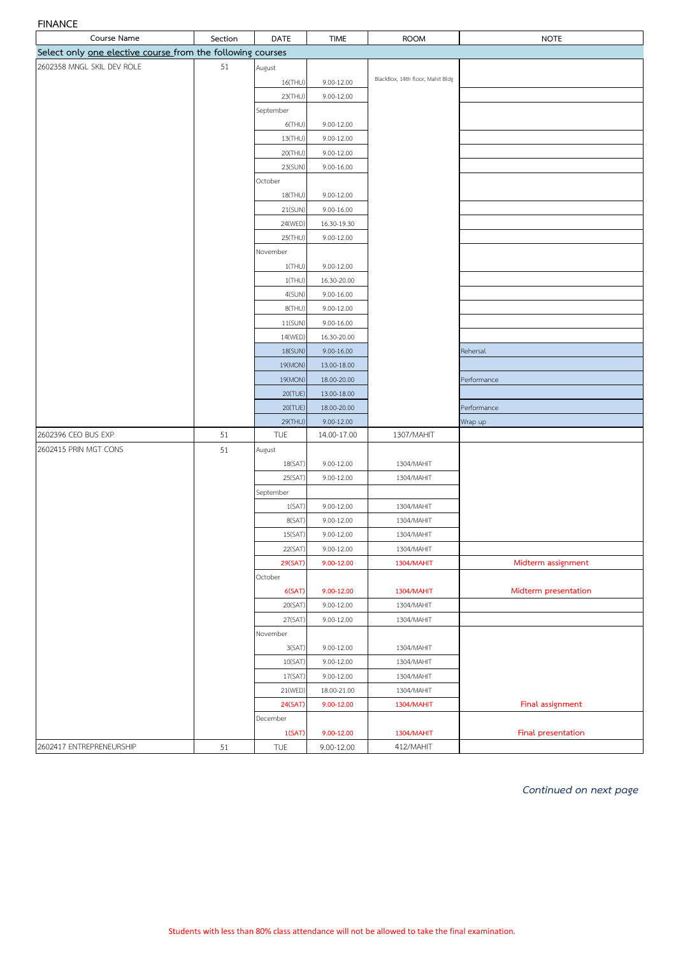## **FINANCE**

| Course Name                                                | Section | <b>DATE</b>        | <b>TIME</b>    | <b>ROOM</b>                      | <b>NOTE</b>          |
|------------------------------------------------------------|---------|--------------------|----------------|----------------------------------|----------------------|
| Select only one elective course from the following courses |         |                    |                |                                  |                      |
| 2602358 MNGL SKIL DEV ROLE                                 | 51      | August             |                |                                  |                      |
|                                                            |         | 16(THU)            | 9.00-12.00     | BlackBox, 14th floor, Mahit Bldg |                      |
|                                                            |         | 23(THU)            | 9.00-12.00     |                                  |                      |
|                                                            |         | September          |                |                                  |                      |
|                                                            |         | $6$ (THU)          | 9.00-12.00     |                                  |                      |
|                                                            |         | 13(THU)            | 9.00-12.00     |                                  |                      |
|                                                            |         | 20(THU)            | 9.00-12.00     |                                  |                      |
|                                                            |         | 23(SUN)            | $9.00 - 16.00$ |                                  |                      |
|                                                            |         | October            |                |                                  |                      |
|                                                            |         | 18(THU)            | 9.00-12.00     |                                  |                      |
|                                                            |         | 21(SUN)            | 9.00-16.00     |                                  |                      |
|                                                            |         | 24(WED)            | 16.30-19.30    |                                  |                      |
|                                                            |         | 25(THU)            | 9.00-12.00     |                                  |                      |
|                                                            |         | November           |                |                                  |                      |
|                                                            |         | $1$ (THU)          | 9.00-12.00     |                                  |                      |
|                                                            |         | 1(THU)             | 16.30-20.00    |                                  |                      |
|                                                            |         | 4(SUN)             | $9.00 - 16.00$ |                                  |                      |
|                                                            |         | 8(THU)             | 9.00-12.00     |                                  |                      |
|                                                            |         | 11(SUN)            | 9.00-16.00     |                                  |                      |
|                                                            |         | 14(WED)            | 16.30-20.00    |                                  |                      |
|                                                            |         | 18(SUN)            | $9.00 - 16.00$ |                                  | Rehersal             |
|                                                            |         | 19(MON)            | 13.00-18.00    |                                  |                      |
|                                                            |         | 19(MON)            | 18.00-20.00    |                                  | Performance          |
|                                                            |         | 20(TUE)            | 13.00-18.00    |                                  |                      |
|                                                            |         | 20(TUE)            | 18.00-20.00    |                                  | Performance          |
|                                                            |         | 29(THU)            | $9.00 - 12.00$ |                                  | Wrap up              |
| 2602396 CEO BUS EXP                                        | 51      | <b>TUE</b>         | 14.00-17.00    | 1307/MAHIT                       |                      |
| 2602415 PRIN MGT CONS                                      | 51      | August             |                |                                  |                      |
|                                                            |         | 18(SAT)            | 9.00-12.00     | 1304/MAHIT                       |                      |
|                                                            |         | 25(SAT)            | 9.00-12.00     | 1304/MAHIT                       |                      |
|                                                            |         | September          |                |                                  |                      |
|                                                            |         | 1(SAT)             | 9.00-12.00     | 1304/MAHIT                       |                      |
|                                                            |         | 8(SAT)             | 9.00-12.00     | 1304/MAHIT                       |                      |
|                                                            |         | 15(SAT)            | $9.00 - 12.00$ | 1304/MAHIT                       |                      |
|                                                            |         | 22(SAT)            | 9.00-12.00     | 1304/MAHIT                       |                      |
|                                                            |         | 29(SAT)<br>October | 9.00-12.00     | <b>1304/MAHIT</b>                | Midterm assignment   |
|                                                            |         | 6(SAT)             | 9.00-12.00     | 1304/MAHIT                       | Midterm presentation |
|                                                            |         | 20(SAT)            | 9.00-12.00     | 1304/MAHIT                       |                      |
|                                                            |         | 27(SAT)            | 9.00-12.00     | 1304/MAHIT                       |                      |
|                                                            |         | November           |                |                                  |                      |
|                                                            |         | 3(SAT)             | 9.00-12.00     | 1304/MAHIT                       |                      |
|                                                            |         | 10(SAT)            | 9.00-12.00     | 1304/MAHIT                       |                      |
|                                                            |         | 17(SAT)            | $9.00 - 12.00$ | 1304/MAHIT                       |                      |
|                                                            |         | 21(WED)            | 18.00-21.00    | 1304/MAHIT                       |                      |
|                                                            |         | 24(SAT)            | 9.00-12.00     | 1304/MAHIT                       | Final assignment     |
|                                                            |         | December           |                |                                  |                      |
|                                                            |         | 1(SAT)             | 9.00-12.00     | 1304/MAHIT                       | Final presentation   |
| 2602417 ENTREPRENEURSHIP                                   | 51      | TUE                | 9.00-12.00     | 412/MAHIT                        |                      |
|                                                            |         |                    |                |                                  |                      |

*Continued on next page*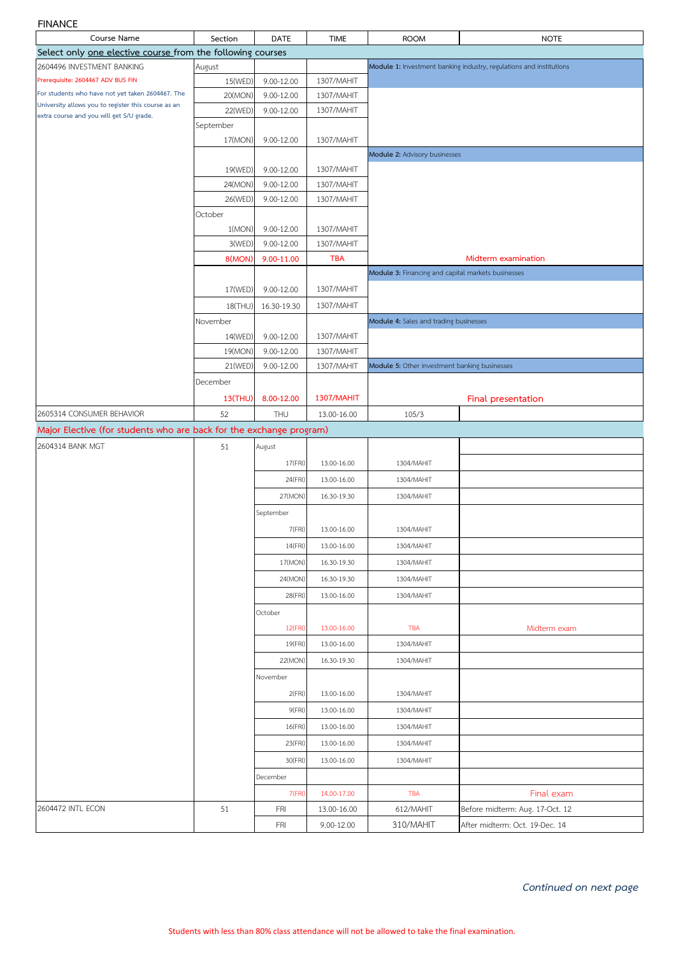#### **FINANCE**

| Course Name                                                                                             | Section              | <b>DATE</b> | <b>TIME</b> | <b>ROOM</b>                                        | <b>NOTE</b>                                                         |  |
|---------------------------------------------------------------------------------------------------------|----------------------|-------------|-------------|----------------------------------------------------|---------------------------------------------------------------------|--|
| Select only one elective course from the following courses                                              |                      |             |             |                                                    |                                                                     |  |
| 2604496 INVESTMENT BANKING                                                                              | August               |             |             |                                                    | Module 1: Investment banking industry, regulations and institutions |  |
| Prerequisite: 2604467 ADV BUS FIN                                                                       | 15(WED)              | 9.00-12.00  | 1307/MAHIT  |                                                    |                                                                     |  |
| For students who have not yet taken 2604467. The<br>University allows you to register this course as an | 20(MON)              | 9.00-12.00  | 1307/MAHIT  |                                                    |                                                                     |  |
| extra course and you will get S/U grade.                                                                | 22(WED)              | 9.00-12.00  | 1307/MAHIT  |                                                    |                                                                     |  |
|                                                                                                         | September<br>17(MON) | 9.00-12.00  | 1307/MAHIT  |                                                    |                                                                     |  |
|                                                                                                         |                      |             |             | Module 2: Advisory businesses                      |                                                                     |  |
|                                                                                                         | 19(WED)              | 9.00-12.00  | 1307/MAHIT  |                                                    |                                                                     |  |
|                                                                                                         | 24(MON)              | 9.00-12.00  | 1307/MAHIT  |                                                    |                                                                     |  |
|                                                                                                         | 26(WED)              | 9.00-12.00  | 1307/MAHIT  |                                                    |                                                                     |  |
|                                                                                                         | October              |             |             |                                                    |                                                                     |  |
|                                                                                                         | 1(MON)               | 9.00-12.00  | 1307/MAHIT  |                                                    |                                                                     |  |
|                                                                                                         | 3(WED)               | 9.00-12.00  | 1307/MAHIT  |                                                    |                                                                     |  |
|                                                                                                         | 8(MON)               | 9.00-11.00  | <b>TBA</b>  |                                                    | Midterm examination                                                 |  |
|                                                                                                         |                      |             |             | Module 3: Financing and capital markets businesses |                                                                     |  |
|                                                                                                         | 17(WED)              | 9.00-12.00  | 1307/MAHIT  |                                                    |                                                                     |  |
|                                                                                                         | 18(THU)              | 16.30-19.30 | 1307/MAHIT  |                                                    |                                                                     |  |
|                                                                                                         | November             |             |             | Module 4: Sales and trading businesses             |                                                                     |  |
|                                                                                                         | 14(WED)              | 9.00-12.00  | 1307/MAHIT  |                                                    |                                                                     |  |
|                                                                                                         | 19(MON)              | 9.00-12.00  | 1307/MAHIT  |                                                    |                                                                     |  |
|                                                                                                         | 21(WED)              | 9.00-12.00  | 1307/MAHIT  | Module 5: Other investment banking businesses      |                                                                     |  |
|                                                                                                         | December             |             |             |                                                    |                                                                     |  |
|                                                                                                         | <b>13(THU)</b>       | 8.00-12.00  | 1307/MAHIT  |                                                    | Final presentation                                                  |  |
| 2605314 CONSUMER BEHAVIOR                                                                               | 52                   | THU         | 13.00-16.00 | 105/3                                              |                                                                     |  |
| Major Elective (for students who are back for the exchange program)                                     |                      |             |             |                                                    |                                                                     |  |
| 2604314 BANK MGT                                                                                        | 51                   | August      |             |                                                    |                                                                     |  |
|                                                                                                         |                      | 17(FRI)     | 13.00-16.00 | 1304/MAHIT                                         |                                                                     |  |
|                                                                                                         |                      | 24(FRI)     | 13.00-16.00 | 1304/MAHIT                                         |                                                                     |  |
|                                                                                                         |                      | 27(MON)     | 16.30-19.30 | 1304/MAHIT                                         |                                                                     |  |
|                                                                                                         |                      | September   |             |                                                    |                                                                     |  |
|                                                                                                         |                      | 7(FRI)      | 13.00-16.00 | 1304/MAHIT                                         |                                                                     |  |
|                                                                                                         |                      | 14(FRI)     | 13.00-16.00 | 1304/MAHIT                                         |                                                                     |  |
|                                                                                                         |                      | 17(MON)     | 16.30-19.30 | 1304/MAHIT                                         |                                                                     |  |
|                                                                                                         |                      | 24(MON)     | 16.30-19.30 | 1304/MAHIT                                         |                                                                     |  |
|                                                                                                         |                      | 28(FRI)     | 13.00-16.00 | 1304/MAHIT                                         |                                                                     |  |
|                                                                                                         |                      | October     |             |                                                    |                                                                     |  |
|                                                                                                         |                      | 12(FRI)     | 13.00-16.00 | <b>TBA</b>                                         | Midterm exam                                                        |  |
|                                                                                                         |                      | 19(FRI)     | 13.00-16.00 | 1304/MAHIT                                         |                                                                     |  |
|                                                                                                         |                      | 22(MON)     | 16.30-19.30 | 1304/MAHIT                                         |                                                                     |  |
|                                                                                                         |                      | November    |             |                                                    |                                                                     |  |
|                                                                                                         |                      | 2(FRI)      | 13.00-16.00 | 1304/MAHIT                                         |                                                                     |  |
|                                                                                                         |                      | 9(FRI)      | 13.00-16.00 | 1304/MAHIT                                         |                                                                     |  |
|                                                                                                         |                      | 16(FRI)     | 13.00-16.00 | 1304/MAHIT                                         |                                                                     |  |
|                                                                                                         |                      | 23(FRI)     | 13.00-16.00 | 1304/MAHIT                                         |                                                                     |  |
|                                                                                                         |                      | 30(FRI)     | 13.00-16.00 | 1304/MAHIT                                         |                                                                     |  |
|                                                                                                         |                      | December    |             |                                                    |                                                                     |  |
|                                                                                                         |                      | 7(FRI)      | 14.00-17.00 | <b>TBA</b>                                         | Final exam                                                          |  |
| 2604472 INTL ECON                                                                                       | 51                   | <b>FRI</b>  | 13.00-16.00 | 612/MAHIT                                          | Before midterm: Aug. 17-Oct. 12                                     |  |
|                                                                                                         |                      | <b>FRI</b>  | 9.00-12.00  | 310/MAHIT                                          | After midterm: Oct. 19-Dec. 14                                      |  |
|                                                                                                         |                      |             |             |                                                    |                                                                     |  |

*Continued on next page*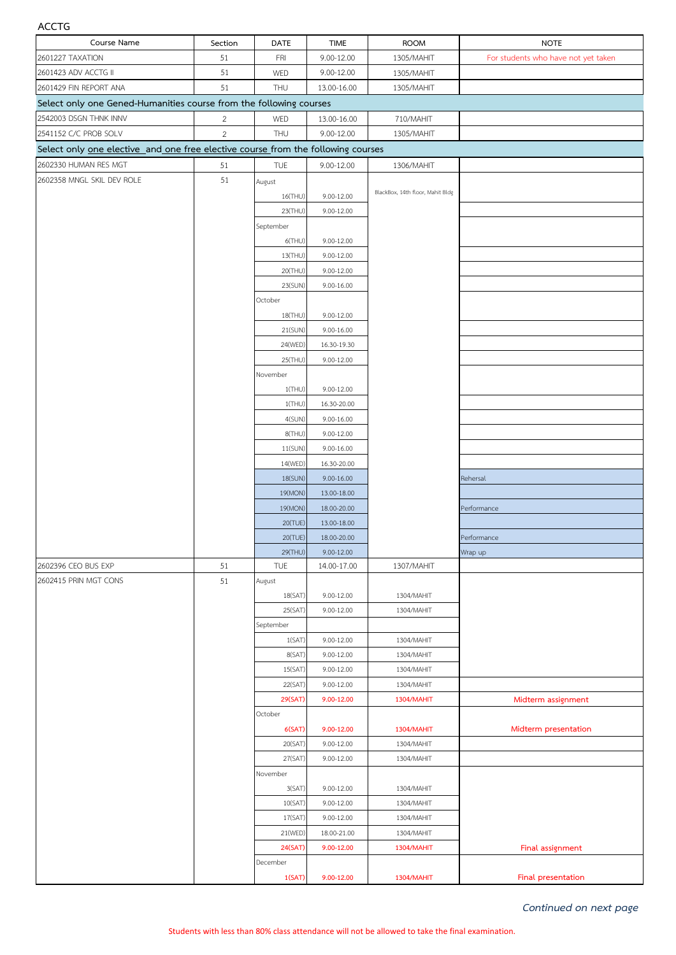## **ACCTG**

| Course Name                                                                      | Section        | DATE                | <b>TIME</b>    | <b>ROOM</b>                      | <b>NOTE</b>                         |  |  |  |
|----------------------------------------------------------------------------------|----------------|---------------------|----------------|----------------------------------|-------------------------------------|--|--|--|
| 2601227 TAXATION                                                                 | 51             | FRI                 | 9.00-12.00     | 1305/MAHIT                       | For students who have not yet taken |  |  |  |
| 2601423 ADV ACCTG II                                                             | 51             | WED                 | 9.00-12.00     | 1305/MAHIT                       |                                     |  |  |  |
| 2601429 FIN REPORT ANA                                                           | 51             | THU                 | 13.00-16.00    | 1305/MAHIT                       |                                     |  |  |  |
| Select only one Gened-Humanities course from the following courses               |                |                     |                |                                  |                                     |  |  |  |
| 2542003 DSGN THNK INNV                                                           | $\overline{2}$ | WED                 | 13.00-16.00    | 710/MAHIT                        |                                     |  |  |  |
| 2541152 C/C PROB SOLV                                                            | $\overline{2}$ | THU                 | 9.00-12.00     | 1305/MAHIT                       |                                     |  |  |  |
| Select only one elective and one free elective course from the following courses |                |                     |                |                                  |                                     |  |  |  |
| 2602330 HUMAN RES MGT                                                            | 51             | TUE                 | $9.00 - 12.00$ | 1306/MAHIT                       |                                     |  |  |  |
| 2602358 MNGL SKIL DEV ROLE                                                       | 51             | August              |                |                                  |                                     |  |  |  |
|                                                                                  |                | 16(THU)             | 9.00-12.00     | BlackBox, 14th floor, Mahit Bldg |                                     |  |  |  |
|                                                                                  |                | 23(THU)             | 9.00-12.00     |                                  |                                     |  |  |  |
|                                                                                  |                | September           |                |                                  |                                     |  |  |  |
|                                                                                  |                | $6$ (THU)           | $9.00 - 12.00$ |                                  |                                     |  |  |  |
|                                                                                  |                | 13(THU)             | 9.00-12.00     |                                  |                                     |  |  |  |
|                                                                                  |                | 20(THU)             | 9.00-12.00     |                                  |                                     |  |  |  |
|                                                                                  |                | 23(SUN)             | $9.00 - 16.00$ |                                  |                                     |  |  |  |
|                                                                                  |                | October             |                |                                  |                                     |  |  |  |
|                                                                                  |                | 18(THU)             | 9.00-12.00     |                                  |                                     |  |  |  |
|                                                                                  |                | 21(SUN)             | $9.00 - 16.00$ |                                  |                                     |  |  |  |
|                                                                                  |                | 24(WED)             | 16.30-19.30    |                                  |                                     |  |  |  |
|                                                                                  |                | 25(THU)             | $9.00 - 12.00$ |                                  |                                     |  |  |  |
|                                                                                  |                | November            |                |                                  |                                     |  |  |  |
|                                                                                  |                | $1$ (THU)           | 9.00-12.00     |                                  |                                     |  |  |  |
|                                                                                  |                | $1$ (THU)           | 16.30-20.00    |                                  |                                     |  |  |  |
|                                                                                  |                | 4(SUN)              | 9.00-16.00     |                                  |                                     |  |  |  |
|                                                                                  |                | 8(THU)              | 9.00-12.00     |                                  |                                     |  |  |  |
|                                                                                  |                | 11(SUN)             | $9.00 - 16.00$ |                                  |                                     |  |  |  |
|                                                                                  |                | 14(WED)             | 16.30-20.00    |                                  |                                     |  |  |  |
|                                                                                  |                | 18(SUN)             | $9.00 - 16.00$ |                                  | Rehersal                            |  |  |  |
|                                                                                  |                | 19(MON)             | 13.00-18.00    |                                  |                                     |  |  |  |
|                                                                                  |                | 19(MON)             | 18.00-20.00    |                                  | Performance                         |  |  |  |
|                                                                                  |                | 20(TUE)             | 13.00-18.00    |                                  |                                     |  |  |  |
|                                                                                  |                | 20(TUE)             | 18.00-20.00    |                                  | Performance                         |  |  |  |
|                                                                                  |                | 29(THU)             | 9.00-12.00     |                                  | Wrap up                             |  |  |  |
| 2602396 CEO BUS EXP                                                              | 51             | <b>TUE</b>          | 14.00-17.00    | 1307/MAHIT                       |                                     |  |  |  |
| 2602415 PRIN MGT CONS                                                            | 51             | August              |                |                                  |                                     |  |  |  |
|                                                                                  |                | 18(SAT)             | 9.00-12.00     | 1304/MAHIT                       |                                     |  |  |  |
|                                                                                  |                | 25(SAT)             | 9.00-12.00     | 1304/MAHIT                       |                                     |  |  |  |
|                                                                                  |                | September<br>1(SAT) | 9.00-12.00     | 1304/MAHIT                       |                                     |  |  |  |
|                                                                                  |                | 8(SAT)              | 9.00-12.00     | 1304/MAHIT                       |                                     |  |  |  |
|                                                                                  |                | 15(SAT)             | 9.00-12.00     | 1304/MAHIT                       |                                     |  |  |  |
|                                                                                  |                | 22(SAT)             | 9.00-12.00     | 1304/MAHIT                       |                                     |  |  |  |
|                                                                                  |                | 29(SAT)             | 9.00-12.00     | 1304/MAHIT                       | Midterm assignment                  |  |  |  |
|                                                                                  |                | October             |                |                                  |                                     |  |  |  |
|                                                                                  |                | 6(SAT)              | 9.00-12.00     | <b>1304/MAHIT</b>                | Midterm presentation                |  |  |  |
|                                                                                  |                | 20(SAT)             | 9.00-12.00     | 1304/MAHIT                       |                                     |  |  |  |
|                                                                                  |                | 27(SAT)             | 9.00-12.00     | 1304/MAHIT                       |                                     |  |  |  |
|                                                                                  |                | November            |                |                                  |                                     |  |  |  |
|                                                                                  |                | 3(SAT)              | 9.00-12.00     | 1304/MAHIT                       |                                     |  |  |  |
|                                                                                  |                | 10(SAT)             | 9.00-12.00     | 1304/MAHIT                       |                                     |  |  |  |
|                                                                                  |                | 17(SAT)             | 9.00-12.00     | 1304/MAHIT                       |                                     |  |  |  |
|                                                                                  |                | 21(WED)             | 18.00-21.00    | 1304/MAHIT                       |                                     |  |  |  |
|                                                                                  |                | 24(SAT)             | 9.00-12.00     | <b>1304/MAHIT</b>                | Final assignment                    |  |  |  |
|                                                                                  |                | December            |                |                                  |                                     |  |  |  |
|                                                                                  |                | 1(SAT)              | 9.00-12.00     | <b>1304/MAHIT</b>                | Final presentation                  |  |  |  |

*Continued on next page*